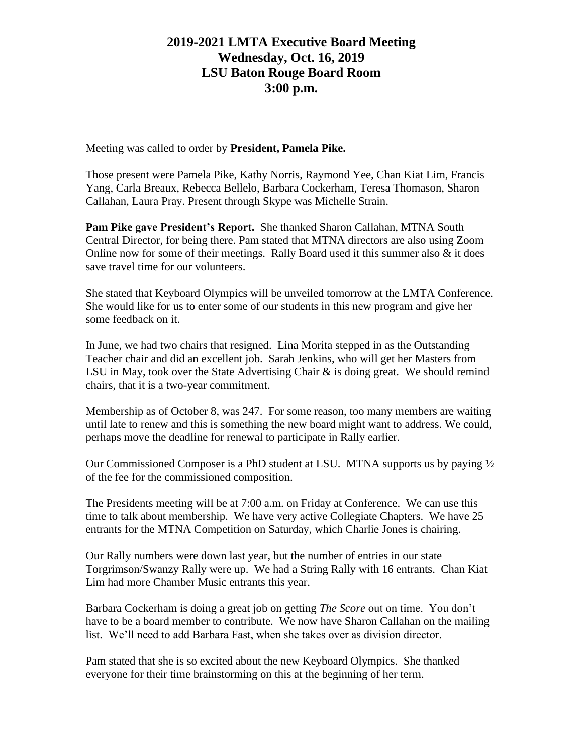# **2019-2021 LMTA Executive Board Meeting Wednesday, Oct. 16, 2019 LSU Baton Rouge Board Room 3:00 p.m.**

Meeting was called to order by **President, Pamela Pike.**

Those present were Pamela Pike, Kathy Norris, Raymond Yee, Chan Kiat Lim, Francis Yang, Carla Breaux, Rebecca Bellelo, Barbara Cockerham, Teresa Thomason, Sharon Callahan, Laura Pray. Present through Skype was Michelle Strain.

**Pam Pike gave President's Report.** She thanked Sharon Callahan, MTNA South Central Director, for being there. Pam stated that MTNA directors are also using Zoom Online now for some of their meetings. Rally Board used it this summer also  $\&$  it does save travel time for our volunteers.

She stated that Keyboard Olympics will be unveiled tomorrow at the LMTA Conference. She would like for us to enter some of our students in this new program and give her some feedback on it.

In June, we had two chairs that resigned. Lina Morita stepped in as the Outstanding Teacher chair and did an excellent job. Sarah Jenkins, who will get her Masters from LSU in May, took over the State Advertising Chair  $\&$  is doing great. We should remind chairs, that it is a two-year commitment.

Membership as of October 8, was 247. For some reason, too many members are waiting until late to renew and this is something the new board might want to address. We could, perhaps move the deadline for renewal to participate in Rally earlier.

Our Commissioned Composer is a PhD student at LSU. MTNA supports us by paying  $\frac{1}{2}$ of the fee for the commissioned composition.

The Presidents meeting will be at 7:00 a.m. on Friday at Conference. We can use this time to talk about membership. We have very active Collegiate Chapters. We have 25 entrants for the MTNA Competition on Saturday, which Charlie Jones is chairing.

Our Rally numbers were down last year, but the number of entries in our state Torgrimson/Swanzy Rally were up. We had a String Rally with 16 entrants. Chan Kiat Lim had more Chamber Music entrants this year.

Barbara Cockerham is doing a great job on getting *The Score* out on time. You don't have to be a board member to contribute. We now have Sharon Callahan on the mailing list. We'll need to add Barbara Fast, when she takes over as division director.

Pam stated that she is so excited about the new Keyboard Olympics. She thanked everyone for their time brainstorming on this at the beginning of her term.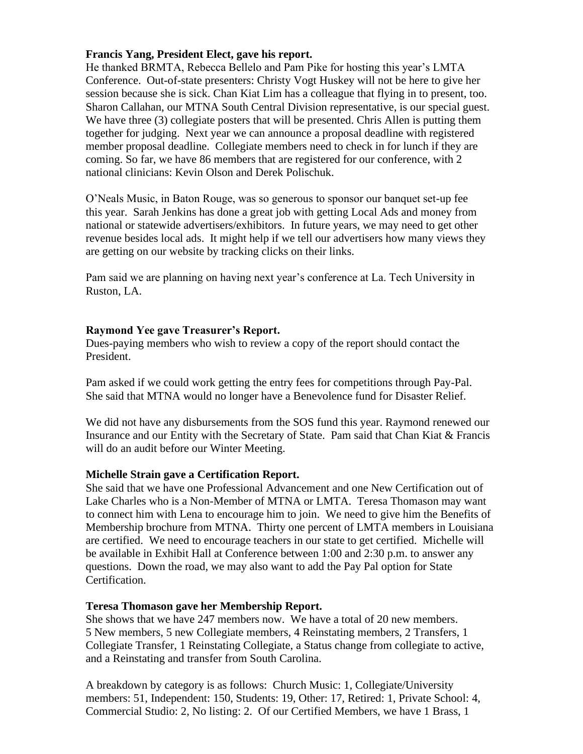#### **Francis Yang, President Elect, gave his report.**

He thanked BRMTA, Rebecca Bellelo and Pam Pike for hosting this year's LMTA Conference. Out-of-state presenters: Christy Vogt Huskey will not be here to give her session because she is sick. Chan Kiat Lim has a colleague that flying in to present, too. Sharon Callahan, our MTNA South Central Division representative, is our special guest. We have three (3) collegiate posters that will be presented. Chris Allen is putting them together for judging. Next year we can announce a proposal deadline with registered member proposal deadline. Collegiate members need to check in for lunch if they are coming. So far, we have 86 members that are registered for our conference, with 2 national clinicians: Kevin Olson and Derek Polischuk.

O'Neals Music, in Baton Rouge, was so generous to sponsor our banquet set-up fee this year. Sarah Jenkins has done a great job with getting Local Ads and money from national or statewide advertisers/exhibitors. In future years, we may need to get other revenue besides local ads. It might help if we tell our advertisers how many views they are getting on our website by tracking clicks on their links.

Pam said we are planning on having next year's conference at La. Tech University in Ruston, LA.

#### **Raymond Yee gave Treasurer's Report.**

Dues-paying members who wish to review a copy of the report should contact the President.

Pam asked if we could work getting the entry fees for competitions through Pay-Pal. She said that MTNA would no longer have a Benevolence fund for Disaster Relief.

We did not have any disbursements from the SOS fund this year. Raymond renewed our Insurance and our Entity with the Secretary of State. Pam said that Chan Kiat & Francis will do an audit before our Winter Meeting.

#### **Michelle Strain gave a Certification Report.**

She said that we have one Professional Advancement and one New Certification out of Lake Charles who is a Non-Member of MTNA or LMTA. Teresa Thomason may want to connect him with Lena to encourage him to join. We need to give him the Benefits of Membership brochure from MTNA. Thirty one percent of LMTA members in Louisiana are certified. We need to encourage teachers in our state to get certified. Michelle will be available in Exhibit Hall at Conference between 1:00 and 2:30 p.m. to answer any questions. Down the road, we may also want to add the Pay Pal option for State Certification.

#### **Teresa Thomason gave her Membership Report.**

She shows that we have 247 members now. We have a total of 20 new members. 5 New members, 5 new Collegiate members, 4 Reinstating members, 2 Transfers, 1 Collegiate Transfer, 1 Reinstating Collegiate, a Status change from collegiate to active, and a Reinstating and transfer from South Carolina.

A breakdown by category is as follows: Church Music: 1, Collegiate/University members: 51, Independent: 150, Students: 19, Other: 17, Retired: 1, Private School: 4, Commercial Studio: 2, No listing: 2. Of our Certified Members, we have 1 Brass, 1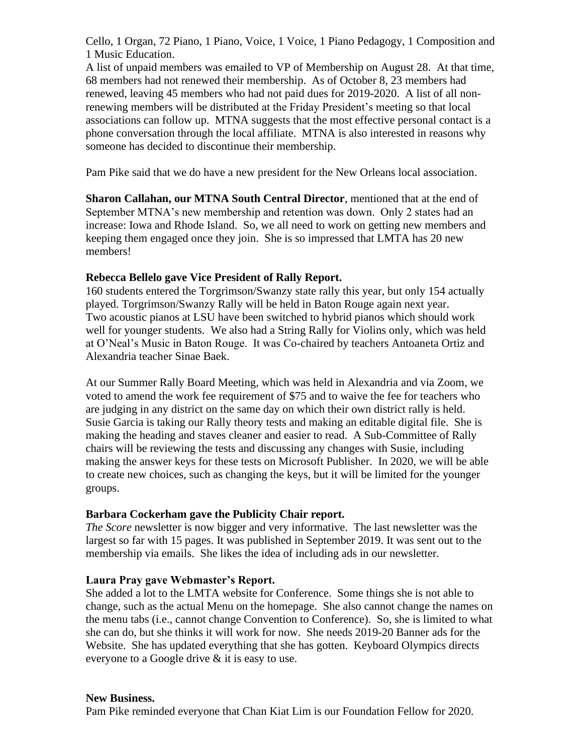Cello, 1 Organ, 72 Piano, 1 Piano, Voice, 1 Voice, 1 Piano Pedagogy, 1 Composition and 1 Music Education.

A list of unpaid members was emailed to VP of Membership on August 28. At that time, 68 members had not renewed their membership. As of October 8, 23 members had renewed, leaving 45 members who had not paid dues for 2019-2020. A list of all nonrenewing members will be distributed at the Friday President's meeting so that local associations can follow up. MTNA suggests that the most effective personal contact is a phone conversation through the local affiliate. MTNA is also interested in reasons why someone has decided to discontinue their membership.

Pam Pike said that we do have a new president for the New Orleans local association.

**Sharon Callahan, our MTNA South Central Director**, mentioned that at the end of September MTNA's new membership and retention was down. Only 2 states had an increase: Iowa and Rhode Island. So, we all need to work on getting new members and keeping them engaged once they join. She is so impressed that LMTA has 20 new members!

### **Rebecca Bellelo gave Vice President of Rally Report.**

160 students entered the Torgrimson/Swanzy state rally this year, but only 154 actually played. Torgrimson/Swanzy Rally will be held in Baton Rouge again next year. Two acoustic pianos at LSU have been switched to hybrid pianos which should work well for younger students. We also had a String Rally for Violins only, which was held at O'Neal's Music in Baton Rouge. It was Co-chaired by teachers Antoaneta Ortiz and Alexandria teacher Sinae Baek.

At our Summer Rally Board Meeting, which was held in Alexandria and via Zoom, we voted to amend the work fee requirement of \$75 and to waive the fee for teachers who are judging in any district on the same day on which their own district rally is held. Susie Garcia is taking our Rally theory tests and making an editable digital file. She is making the heading and staves cleaner and easier to read. A Sub-Committee of Rally chairs will be reviewing the tests and discussing any changes with Susie, including making the answer keys for these tests on Microsoft Publisher. In 2020, we will be able to create new choices, such as changing the keys, but it will be limited for the younger groups.

#### **Barbara Cockerham gave the Publicity Chair report.**

*The Score* newsletter is now bigger and very informative. The last newsletter was the largest so far with 15 pages. It was published in September 2019. It was sent out to the membership via emails. She likes the idea of including ads in our newsletter.

## **Laura Pray gave Webmaster's Report.**

She added a lot to the LMTA website for Conference. Some things she is not able to change, such as the actual Menu on the homepage. She also cannot change the names on the menu tabs (i.e., cannot change Convention to Conference). So, she is limited to what she can do, but she thinks it will work for now. She needs 2019-20 Banner ads for the Website. She has updated everything that she has gotten. Keyboard Olympics directs everyone to a Google drive & it is easy to use.